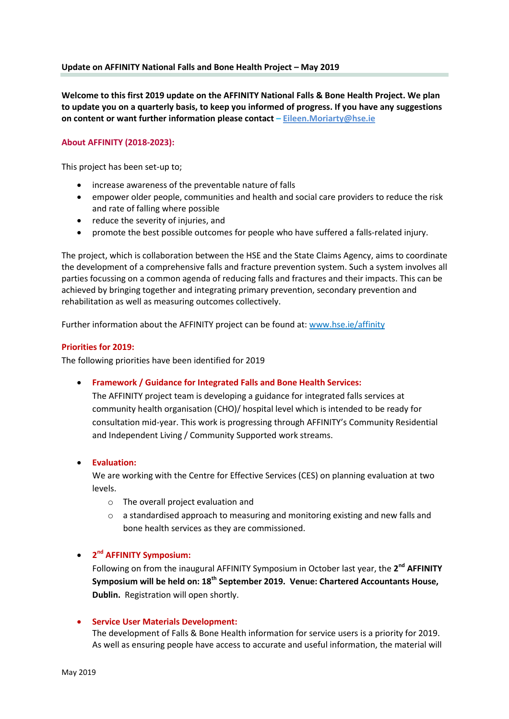### **Update on AFFINITY National Falls and Bone Health Project – May 2019**

**Welcome to this first 2019 update on the AFFINITY National Falls & Bone Health Project. We plan to update you on a quarterly basis, to keep you informed of progress. If you have any suggestions on content or want further information please contact – [Eileen.Moriarty@hse.ie](mailto:Eileen.Moriarty@hse.ie)**

### **About AFFINITY (2018-2023):**

This project has been set-up to;

- increase awareness of the preventable nature of falls
- empower older people, communities and health and social care providers to reduce the risk and rate of falling where possible
- reduce the severity of injuries, and
- promote the best possible outcomes for people who have suffered a falls-related injury.

The project, which is collaboration between the HSE and the State Claims Agency, aims to coordinate the development of a comprehensive falls and fracture prevention system. Such a system involves all parties focussing on a common agenda of reducing falls and fractures and their impacts. This can be achieved by bringing together and integrating primary prevention, secondary prevention and rehabilitation as well as measuring outcomes collectively.

Further information about the AFFINITY project can be found at[: www.hse.ie/affinity](http://www.hse.ie/affinity)

### **Priorities for 2019:**

The following priorities have been identified for 2019

**Framework / Guidance for Integrated Falls and Bone Health Services:** 

The AFFINITY project team is developing a guidance for integrated falls services at community health organisation (CHO)/ hospital level which is intended to be ready for consultation mid-year. This work is progressing through AFFINITY's Community Residential and Independent Living / Community Supported work streams.

**Evaluation:** 

We are working with the Centre for Effective Services (CES) on planning evaluation at two levels.

- o The overall project evaluation and
- $\circ$  a standardised approach to measuring and monitoring existing and new falls and bone health services as they are commissioned.

# **2 nd AFFINITY Symposium:**

Following on from the inaugural AFFINITY Symposium in October last year, the 2<sup>nd</sup> AFFINITY **Symposium will be held on: 18th September 2019. Venue: Chartered Accountants House, Dublin.** Registration will open shortly.

#### **•** Service User Materials Development:

The development of Falls & Bone Health information for service users is a priority for 2019. As well as ensuring people have access to accurate and useful information, the material will